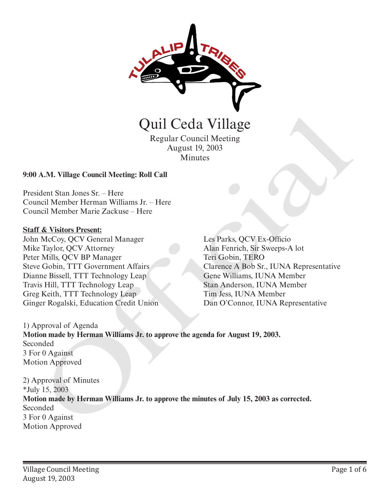

Regular Council Meeting August 19, 2003 Minutes

#### **9:00 A.M. Village Council Meeting: Roll Call**

President Stan Jones Sr. – Here Council Member Herman Williams Jr. – Here Council Member Marie Zackuse – Here

#### **Staff & Visitors Present:**

John McCoy, QCV General Manager Mike Taylor, QCV Attorney Peter Mills, QCV BP Manager Steve Gobin, TTT Government Affairs Dianne Bissell, TTT Technology Leap Travis Hill, TTT Technology Leap Greg Keith, TTT Technology Leap Ginger Rogalski, Education Credit Union

Les Parks, QCV Ex-Officio Alan Fenrich, Sir Sweeps-A lot Teri Gobin, TERO Clarence A Bob Sr., IUNA Representative Gene Williams, IUNA Member Stan Anderson, IUNA Member Tim Jess, IUNA Member Dan O'Connor, IUNA Representative

1) Approval of Agenda **Motion made by Herman Williams Jr. to approve the agenda for August 19, 2003.** Seconded 3 For 0 Against Motion Approved

2) Approval of Minutes \*July 15, 2003 **Motion made by Herman Williams Jr. to approve the minutes of July 15, 2003 as corrected.** Seconded 3 For 0 Against **Carl Carl Carl Carl Capital Capital Capital Capital School (Margin Apple)**<br>
Mindles<br>
August 19, 2003<br>
Mindles<br>
President Stan Jones Sr. – Here<br>
Council Member Herman Williams Jr. – Here<br>
Council Member Marie Zackuse – Her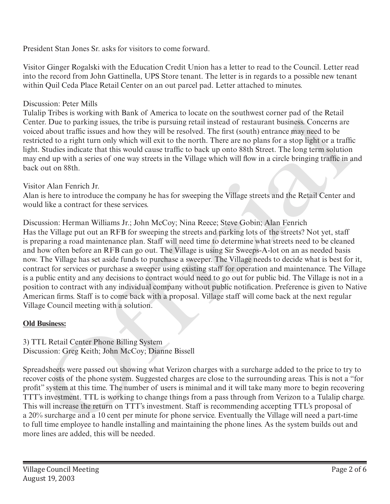President Stan Jones Sr. asks for visitors to come forward.

Visitor Ginger Rogalski with the Education Credit Union has a letter to read to the Council. Letter read into the record from John Gattinella, UPS Store tenant. The letter is in regards to a possible new tenant within Quil Ceda Place Retail Center on an out parcel pad. Letter attached to minutes.

# Discussion: Peter Mills

Tulalip Tribes is working with Bank of America to locate on the southwest corner pad of the Retail Center. Due to parking issues, the tribe is pursuing retail instead of restaurant business. Concerns are voiced about traffic issues and how they will be resolved. The first (south) entrance may need to be restricted to a right turn only which will exit to the north. There are no plans for a stop light or a traffic light. Studies indicate that this would cause traffic to back up onto 88th Street. The long term solution may end up with a series of one way streets in the Village which will flow in a circle bringing traffic in and back out on 88th.

# Visitor Alan Fenrich Jr.

Alan is here to introduce the company he has for sweeping the Village streets and the Retail Center and would like a contract for these services.

Discussion: Herman Williams Jr.; John McCoy; Nina Reece; Steve Gobin; Alan Fenrich Has the Village put out an RFB for sweeping the streets and parking lots of the streets? Not yet, staff is preparing a road maintenance plan. Staff will need time to determine what streets need to be cleaned and how often before an RFB can go out. The Village is using Sir Sweeps-A-lot on an as needed basis now. The Village has set aside funds to purchase a sweeper. The Village needs to decide what is best for it, contract for services or purchase a sweeper using existing staff for operation and maintenance. The Village is a public entity and any decisions to contract would need to go out for public bid. The Village is not in a position to contract with any individual company without public notification. Preference is given to Native American firms. Staff is to come back with a proposal. Village staff will come back at the next regular Village Council meeting with a solution. Ip Imsels is working with Bank of Amhera to locate on the solutions come<br>for the Reali<br>figure from the Realistance of the six-pursuing retail instead of restaurant business. Concerns are<br>ad about traffic issues and how the

# **Old Business:**

### 3) TTL Retail Center Phone Billing System Discussion: Greg Keith; John McCoy; Dianne Bissell

Spreadsheets were passed out showing what Verizon charges with a surcharge added to the price to try to recover costs of the phone system. Suggested charges are close to the surrounding areas. This is not a "for profit" system at this time. The number of users is minimal and it will take many more to begin recovering TTT's investment. TTL is working to change things from a pass through from Verizon to a Tulalip charge. This will increase the return on TTT's investment. Staff is recommending accepting TTL's proposal of a 20% surcharge and a 10 cent per minute for phone service. Eventually the Village will need a part-time to full time employee to handle installing and maintaining the phone lines. As the system builds out and more lines are added, this will be needed.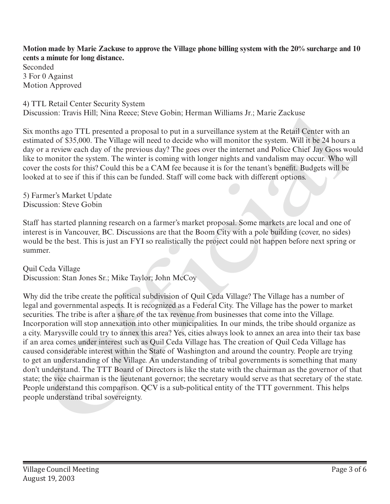**Motion made by Marie Zackuse to approve the Village phone billing system with the 20% surcharge and 10 cents a minute for long distance.**

Seconded 3 For 0 Against Motion Approved

4) TTL Retail Center Security System Discussion: Travis Hill; Nina Reece; Steve Gobin; Herman Williams Jr.; Marie Zackuse

Six months ago TTL presented a proposal to put in a surveillance system at the Retail Center with an estimated of \$35,000. The Village will need to decide who will monitor the system. Will it be 24 hours a day or a review each day of the previous day? The goes over the internet and Police Chief Jay Goss would like to monitor the system. The winter is coming with longer nights and vandalism may occur. Who will cover the costs for this? Could this be a CAM fee because it is for the tenant's benefit. Budgets will be looked at to see if this if this can be funded. Staff will come back with different options.

5) Farmer's Market Update Discussion: Steve Gobin

Staff has started planning research on a farmer's market proposal. Some markets are local and one of interest is in Vancouver, BC. Discussions are that the Boom City with a pole building (cover, no sides) would be the best. This is just an FYI so realistically the project could not happen before next spring or summer.

Quil Ceda Village

Discussion: Stan Jones Sr.; Mike Taylor; John McCoy

Why did the tribe create the political subdivision of Quil Ceda Village? The Village has a number of legal and governmental aspects. It is recognized as a Federal City. The Village has the power to market securities. The tribe is after a share of the tax revenue from businesses that come into the Village. Incorporation will stop annexation into other municipalities. In our minds, the tribe should organize as a city. Marysville could try to annex this area? Yes, cities always look to annex an area into their tax base if an area comes under interest such as Quil Ceda Village has. The creation of Quil Ceda Village has caused considerable interest within the State of Washington and around the country. People are trying to get an understanding of the Village. An understanding of tribal governments is something that many don't understand. The TTT Board of Directors is like the state with the chairman as the governor of that state; the vice chairman is the lieutenant governor; the secretary would serve as that secretary of the state. People understand this comparison. QCV is a sub-political entity of the TTT government. This helps Discussion: Iravis Fili; Nina Reece; Steve Goolin; Ferman Williams Jr; Marie Zaccuse<br>
Six months ago iTL presented a proposal to part in a surveillance system at the Retail Center with an<br>
Six months ago iTL presented a p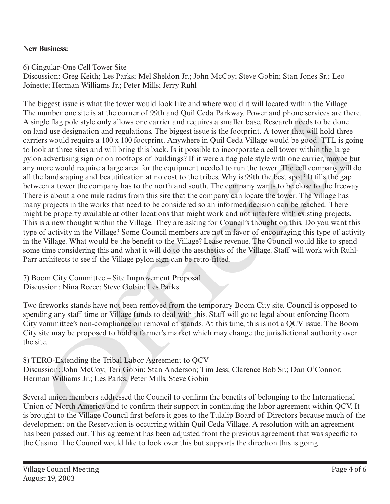## **New Business:**

6) Cingular-One Cell Tower Site

Discussion: Greg Keith; Les Parks; Mel Sheldon Jr.; John McCoy; Steve Gobin; Stan Jones Sr.; Leo Joinette; Herman Williams Jr.; Peter Mills; Jerry Ruhl

The biggest issue is what the tower would look like and where would it will located within the Village. The number one site is at the corner of 99th and Quil Ceda Parkway. Power and phone services are there. A single flag pole style only allows one carrier and requires a smaller base. Research needs to be done on land use designation and regulations. The biggest issue is the footprint. A tower that will hold three carriers would require a 100 x 100 footprint. Anywhere in Quil Ceda Village would be good. TTL is going to look at three sites and will bring this back. Is it possible to incorporate a cell tower within the large pylon advertising sign or on rooftops of buildings? If it were a flag pole style with one carrier, maybe but any more would require a large area for the equipment needed to run the tower. The cell company will do all the landscaping and beautification at no cost to the tribes. Why is 99th the best spot? It fills the gap between a tower the company has to the north and south. The company wants to be close to the freeway. There is about a one mile radius from this site that the company can locate the tower. The Village has many projects in the works that need to be considered so an informed decision can be reached. There might be property available at other locations that might work and not interfere with existing projects. This is a new thought within the Village. They are asking for Council's thought on this. Do you want this type of activity in the Village? Some Council members are not in favor of encouraging this type of activity in the Village. What would be the benefit to the Village? Lease revenue. The Council would like to spend some time considering this and what it will do to the aesthetics of the Village. Staff will work with Ruhl-Parr architects to see if the Village pylon sign can be retro-fitted. numero one site is at the conter of 1991 and Quit ceaar straway. Tower and pones seves are not seen to see the satter stray in the content of the determinant and the designation and predictions. The biggest issue is the fo

7) Boom City Committee – Site Improvement Proposal Discussion: Nina Reece; Steve Gobin; Les Parks

Two fireworks stands have not been removed from the temporary Boom City site. Council is opposed to spending any staff time or Village funds to deal with this. Staff will go to legal about enforcing Boom City vommittee's non-compliance on removal of stands. At this time, this is not a QCV issue. The Boom City site may be proposed to hold a farmer's market which may change the jurisdictional authority over the site.

8) TERO-Extending the Tribal Labor Agreement to QCV Discussion: John McCoy; Teri Gobin; Stan Anderson; Tim Jess; Clarence Bob Sr.; Dan O'Connor; Herman Williams Jr.; Les Parks; Peter Mills, Steve Gobin

Several union members addressed the Council to confirm the benefits of belonging to the International Union of North America and to confirm their support in continuing the labor agreement within QCV. It is brought to the Village Council first before it goes to the Tulalip Board of Directors because much of the development on the Reservation is occurring within Quil Ceda Village. A resolution with an agreement has been passed out. This agreement has been adjusted from the previous agreement that was specific to the Casino. The Council would like to look over this but supports the direction this is going.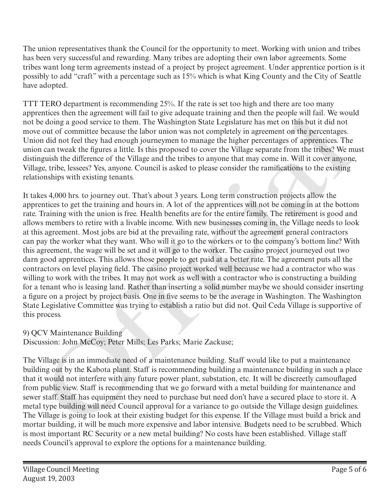The union representatives thank the Council for the opportunity to meet. Working with union and tribes has been very successful and rewarding. Many tribes are adopting their own labor agreements. Some tribes want long term agreements instead of a project by project agreement. Under apprentice portion is it possibly to add "craft" with a percentage such as 15% which is what King County and the City of Seattle have adopted.

TTT TERO department is recommending 25%. If the rate is set too high and there are too many apprentices then the agreement will fail to give adequate training and then the people will fail. We would not be doing a good service to them. The Washington State Legislature has met on this but it did not move out of committee because the labor union was not completely in agreement on the percentages. Union did not feel they had enough journeymen to manage the higher percentages of apprentices. The union can tweak the figures a little. Is this proposed to cover the Village separate from the tribes? We must distinguish the difference of the Village and the tribes to anyone that may come in. Will it cover anyone, Village, tribe, lessees? Yes, anyone. Council is asked to please consider the ramifications to the existing relationships with existing tenants.

It takes 4,000 hrs. to journey out. That's about 3 years. Long term construction projects allow the apprentices to get the training and hours in. A lot of the apprentices will not be coming in at the bottom rate. Training with the union is free. Health benefits are for the entire family. The retirement is good and allows members to retire with a livable income. With new businesses coming in, the Village needs to look at this agreement. Most jobs are bid at the prevailing rate, without the agreement general contractors can pay the worker what they want. Who will it go to the workers or to the company's bottom line? With this agreement, the wage will be set and it will go to the worker. The casino project journeyed out two darn good apprentices. This allows those people to get paid at a better rate. The agreement puts all the contractors on level playing field. The casino project worked well because we had a contractor who was willing to work with the tribes. It may not work as well with a contractor who is constructing a building for a tenant who is leasing land. Rather than inserting a solid number maybe we should consider inserting a figure on a project by project basis. One in five seems to be the average in Washington. The Washington State Legislative Committee was trying to establish a ratio but did not. Quil Ceda Village is supportive of this process. enten in a greenome with a to give adequate training and then the people with ran end<br>or doing a good service to them. The Washington State Legislature has met on this but it did not<br>or doing a good service to them. The Wa

## 9) QCV Maintenance Building

Discussion: John McCoy; Peter Mills; Les Parks; Marie Zackuse;

The Village is in an immediate need of a maintenance building. Staff would like to put a maintenance building out by the Kabota plant. Staff is recommending building a maintenance building in such a place that it would not interfere with any future power plant, substation, etc. It will be discreetly camouflaged from public view. Staff is recommending that we go forward with a metal building for maintenance and sewer staff. Staff has equipment they need to purchase but need don't have a secured place to store it. A metal type building will need Council approval for a variance to go outside the Village design guidelines. The Village is going to look at their existing budget for this expense. If the Village must build a brick and mortar building, it will be much more expensive and labor intensive. Budgets need to be scrubbed. Which is most important RC Security or a new metal building? No costs have been established. Village staff needs Council's approval to explore the options for a maintenance building.